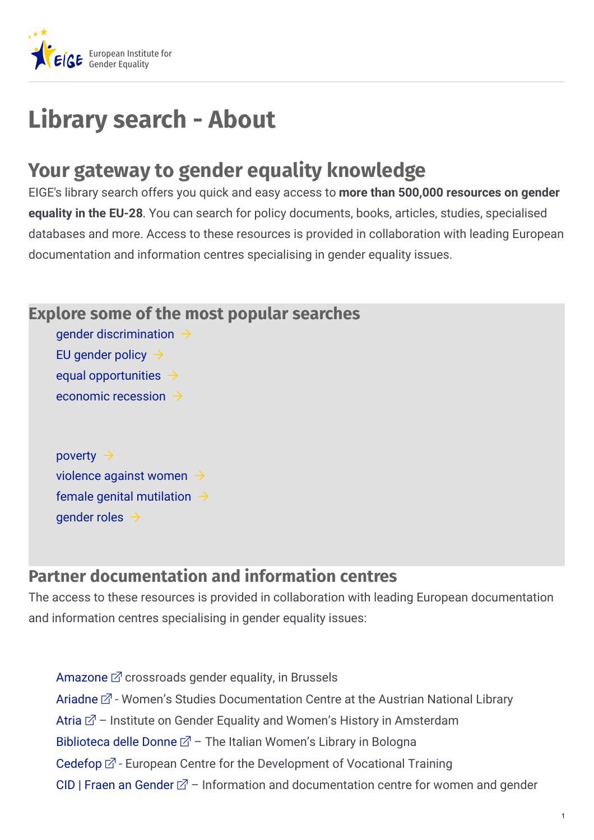

## **Library search - About**

## **Your gateway to gender equality knowledge**

EIGE's library search offers you quick and easy access to **more than 500,000 resources on gender equality in the EU-28**. You can search for policy documents, books, articles, studies, specialised databases and more. Access to these resources is provided in collaboration with leading European documentation and information centres specialising in gender equality issues.

## **Explore some of the most popular searches**

gender [discrimination](https://eige.europa.eu/library?t=gender+discrimination&sort_by=cdate)  $\rightarrow$ EU [gender](https://eige.europa.eu/library?t=EU+gender+policy&sort_by=cdate) policy  $\rightarrow$ equal [opportunities](https://eige.europa.eu/library?t=Equal+opportunities&sort_by=cdate)  $\rightarrow$ [economic](https://eige.europa.eu/library?t=economic+recession&sort_by=cdate) recession  $\rightarrow$ 

[poverty](https://eige.europa.eu/library?t=poverty&sort_by=cdate)  $\rightarrow$ [violence](https://eige.europa.eu/library?t=violence+against+women&sort_by=cdate) against women  $\rightarrow$ female genital [mutilation](https://eige.europa.eu/library?t=female+genital+mutilation&sort_by=cdate)  $\rightarrow$ [gender](https://eige.europa.eu/library?t=gender+roles&sort_by=cdate) roles  $\rightarrow$ 

## **Partner documentation and information centres**

The access to these resources is provided in collaboration with leading European documentation and information centres specialising in gender equality issues:

[Amazone](http://www.amazone.be/?lang=fr)  $\mathbb Z$  crossroads gender equality, in Brussels [Ariadne](http://www.onb.ac.at/en/research/ariadne/about-ariadne/)  $\mathbb{Z}$  - Women's Studies Documentation Centre at the Austrian National Library [Atria](http://www.atria.nl/atria/eng/)  $\mathbb{Z}$  – Institute on Gender Equality and Women's History in Amsterdam [Biblioteca](http://bibliotecadelledonne.women.it/) delle Donne  $\mathbb{Z}$  – The Italian Women's Library in Bologna [Cedefop](http://libserver.cedefop.europa.eu/)  $\mathbb{Z}$  - European Centre for the Development of Vocational Training CID | Fraen an [Gender](http://www.cid-femmes.lu/)  $\mathbb{Z}$  - Information and documentation centre for women and gender